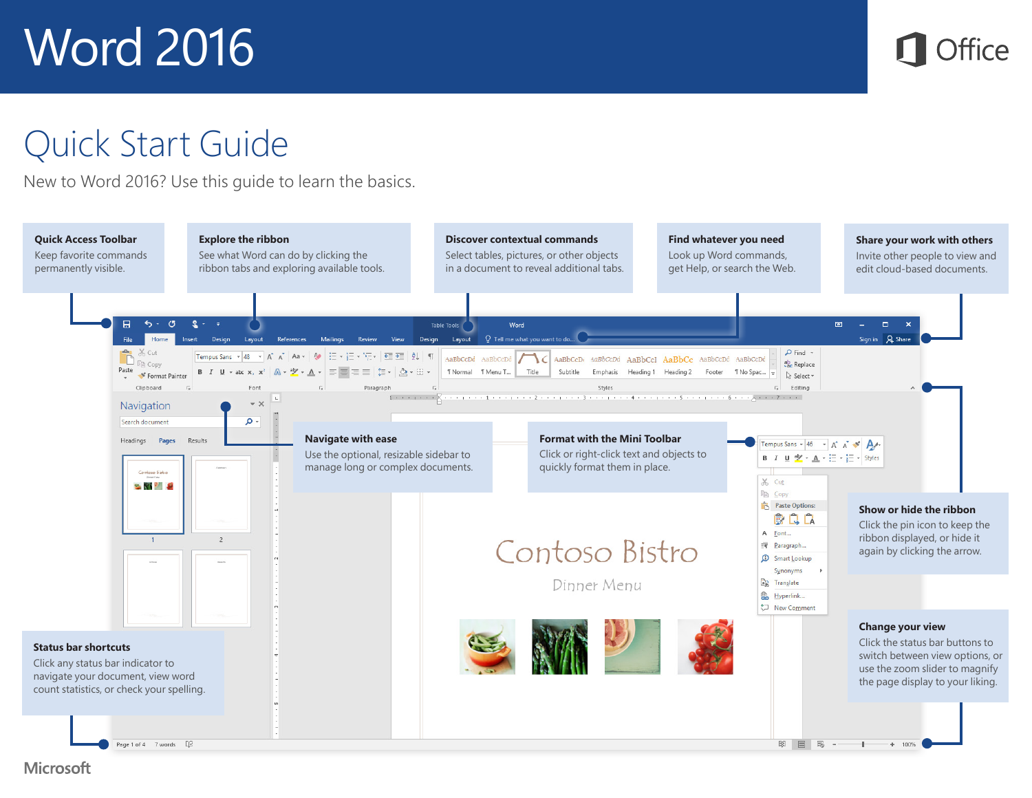

#### Quick Start Guide

New to Word 2016? Use this guide to learn the basics.



**Microsoft**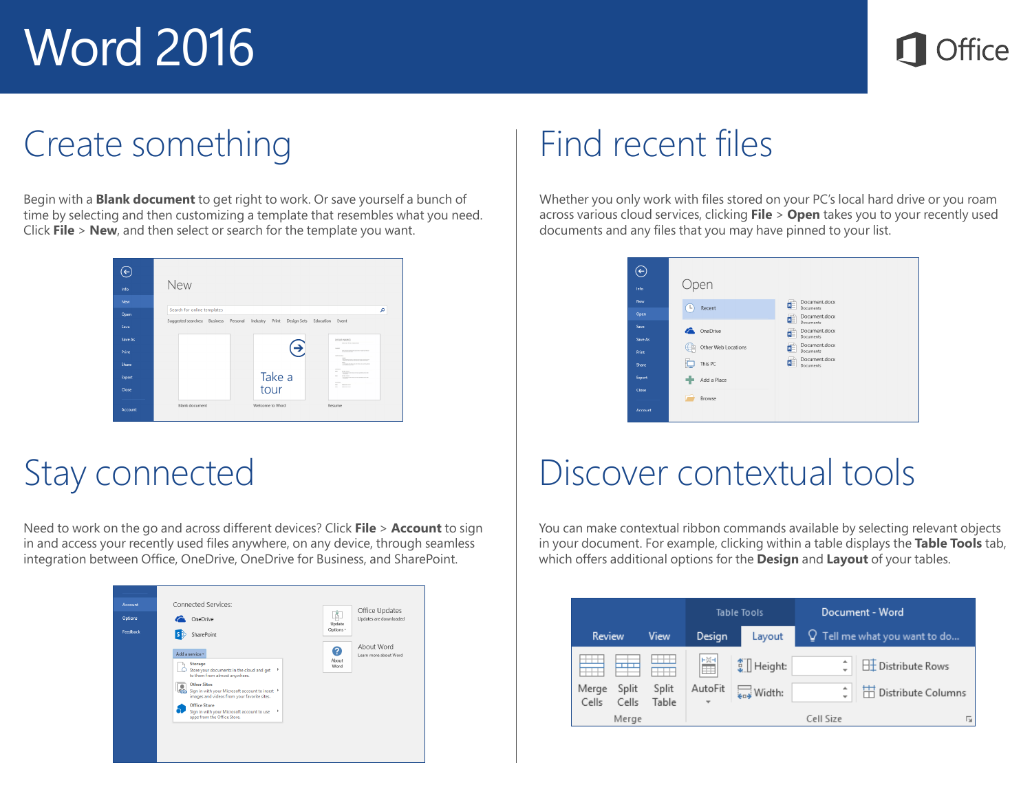

#### Create something

Begin with a **Blank document** to get right to work. Or save yourself a bunch of time by selecting and then customizing a template that resembles what you need. Click **File** > **New**, and then select or search for the template you want.

| Info    | New                                                                                                                                |
|---------|------------------------------------------------------------------------------------------------------------------------------------|
| New     |                                                                                                                                    |
| Open    | Search for online templates<br>م                                                                                                   |
| Save    | Suggested searches:<br>Business<br>Design Sets<br>Education<br>Event<br>Personal<br>Industry<br>Print                              |
| Save As | <b>FICKUR NAMED</b><br><b>MALAZZA PARA PARA DIA</b>                                                                                |
| Print   | →<br>that a face and in this of the most new is soon to result as<br><b>CARD COMPANY</b>                                           |
| Share   | and the state of the control of the control<br>-----<br><b>STATE</b>                                                               |
| Export  | <b>SPREAMS</b><br>$\sim$<br>Take a<br><b>START COMPANY</b><br>--------<br><b>STATISTICS</b><br><b>Service</b><br><b>CONTRACTOR</b> |
| Close   | <b>STATE</b><br>tour<br><b>Barnet Ave</b><br>$\sim$<br><b>Dentrois State</b>                                                       |
| Account | <b>Blank document</b><br>Welcome to Word<br>Resume                                                                                 |

#### Stay connected

Need to work on the go and across different devices? Click **File** > **Account** to sign in and access your recently used files anywhere, on any device, through seamless integration between Office, OneDrive, OneDrive for Business, and SharePoint.



#### Find recent files

Whether you only work with files stored on your PC's local hard drive or you roam across various cloud services, clicking **File** > **Open** takes you to your recently used documents and any files that you may have pinned to your list.

| $\leftarrow$ |                     |                                  |
|--------------|---------------------|----------------------------------|
| Info         | pen                 |                                  |
| New          | Recent              | Document.docx<br>Œ<br>Documents  |
| Open         |                     | Document.docx<br>۵È              |
| Save         | OneDrive<br>A       | Documents<br>Document.docx<br>a) |
| Save As      |                     | Documents<br>Document.docx       |
| Print        | Other Web Locations | Œ<br>Documents                   |
| Share        | This PC             | Document.docx<br>ď<br>Documents  |
| Export       | Add a Place         |                                  |
| Close        | Browse              |                                  |
| Account      |                     |                                  |

#### Discover contextual tools

You can make contextual ribbon commands available by selecting relevant objects in your document. For example, clicking within a table displays the **Table Tools** tab, which offers additional options for the **Design** and **Layout** of your tables.

|                                  |                          | <b>Table Tools</b> |                                                                        | Document - Word |                                 |
|----------------------------------|--------------------------|--------------------|------------------------------------------------------------------------|-----------------|---------------------------------|
| Review                           | <b>View</b>              | Design             | Layout                                                                 |                 | $Q$ Tell me what you want to do |
| ┯                                | $\overline{\phantom{a}}$ | ■                  | $\left[\begin{array}{c}\n\ddots \\ \ddots\n\end{array}\right]$ Height: |                 | $\boxplus$ Distribute Rows      |
| Merge<br>Split<br>Cells<br>Cells | Split<br>Table           | AutoFit<br>÷       | $\overline{\phantom{a}}$ Width:                                        | ∸               | Distribute Columns              |
| Merge                            |                          |                    |                                                                        | Cell Size       | 喧                               |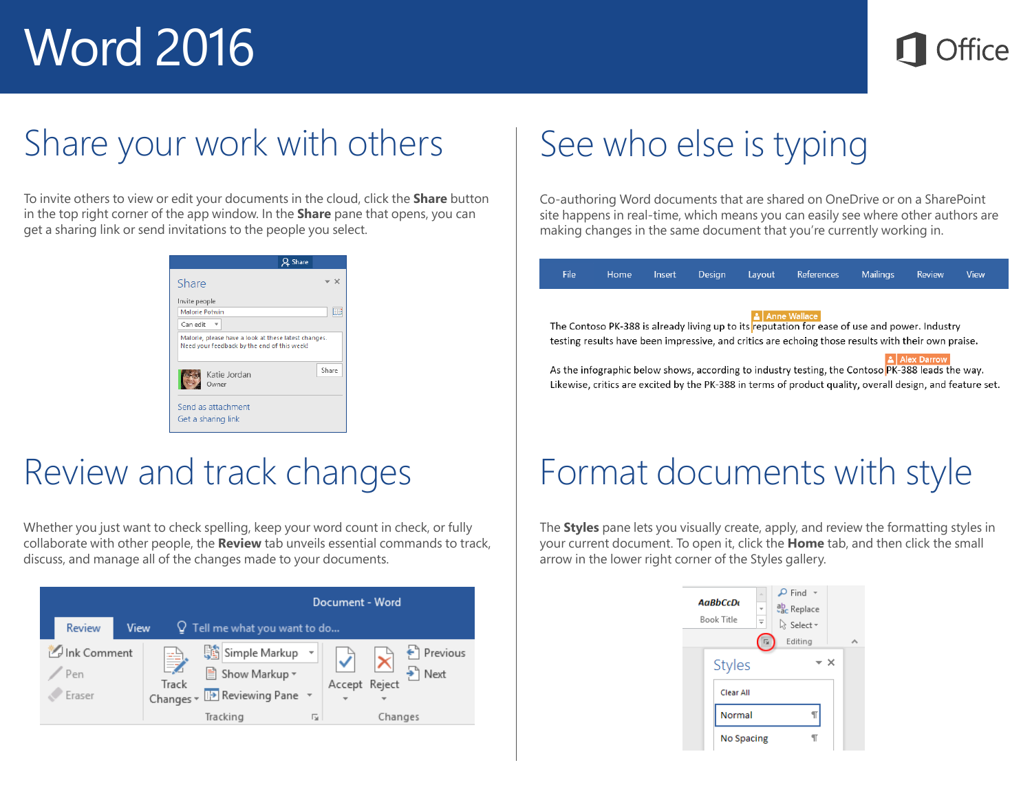

## Share your work with others

To invite others to view or edit your documents in the cloud, click the **Share** button in the top right corner of the app window. In the **Share** pane that opens, you can get a sharing link or send invitations to the people you select.

| Share                                                                                                                     |       |
|---------------------------------------------------------------------------------------------------------------------------|-------|
| Invite people                                                                                                             |       |
| <b>Malorie Potwin</b>                                                                                                     | ЕlЕ   |
| Can edit<br>÷                                                                                                             |       |
|                                                                                                                           |       |
|                                                                                                                           | Share |
| Katie Jordan<br>Owner                                                                                                     |       |
| Malorie, please have a look at these latest changes.<br>Need your feedback by the end of this week!<br>Send as attachment |       |

#### Review and track changes

Whether you just want to check spelling, keep your word count in check, or fully collaborate with other people, the **Review** tab unveils essential commands to track, discuss, and manage all of the changes made to your documents.



## See who else is typing

Co-authoring Word documents that are shared on OneDrive or on a SharePoint site happens in real-time, which means you can easily see where other authors are making changes in the same document that you're currently working in.

|  |  | <sup>l</sup> File   Home  Insert  Design  Layout  References  Mailings  Review  View , |  |  |
|--|--|----------------------------------------------------------------------------------------|--|--|
|  |  |                                                                                        |  |  |

The Contoso PK-388 is already living up to its reputation for ease of use and power. Industry testing results have been impressive, and critics are echoing those results with their own praise.

As the infographic below shows, according to industry testing, the Contoso PK-388 leads the way. Likewise, critics are excited by the PK-388 in terms of product quality, overall design, and feature set.

#### Format documents with style

The **Styles** pane lets you visually create, apply, and review the formatting styles in your current document. To open it, click the **Home** tab, and then click the small arrow in the lower right corner of the Styles gallery.